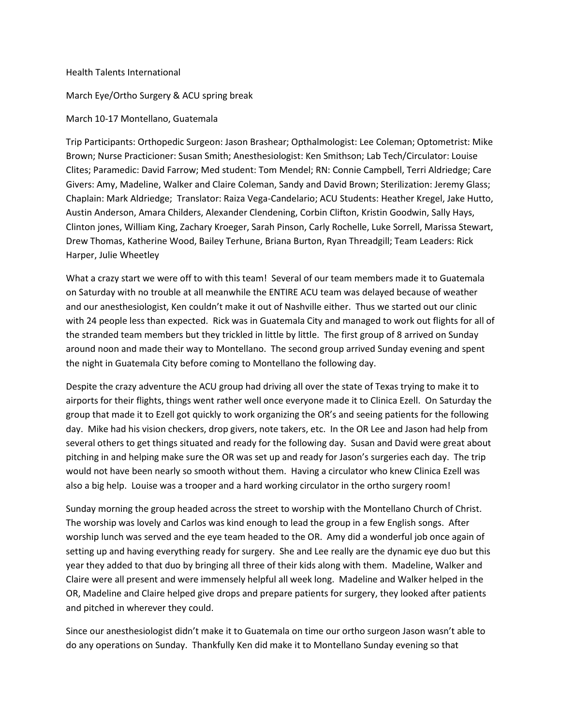## Health Talents International

## March Eye/Ortho Surgery & ACU spring break

## March 10-17 Montellano, Guatemala

Trip Participants: Orthopedic Surgeon: Jason Brashear; Opthalmologist: Lee Coleman; Optometrist: Mike Brown; Nurse Practicioner: Susan Smith; Anesthesiologist: Ken Smithson; Lab Tech/Circulator: Louise Clites; Paramedic: David Farrow; Med student: Tom Mendel; RN: Connie Campbell, Terri Aldriedge; Care Givers: Amy, Madeline, Walker and Claire Coleman, Sandy and David Brown; Sterilization: Jeremy Glass; Chaplain: Mark Aldriedge; Translator: Raiza Vega-Candelario; ACU Students: Heather Kregel, Jake Hutto, Austin Anderson, Amara Childers, Alexander Clendening, Corbin Clifton, Kristin Goodwin, Sally Hays, Clinton jones, William King, Zachary Kroeger, Sarah Pinson, Carly Rochelle, Luke Sorrell, Marissa Stewart, Drew Thomas, Katherine Wood, Bailey Terhune, Briana Burton, Ryan Threadgill; Team Leaders: Rick Harper, Julie Wheetley

What a crazy start we were off to with this team! Several of our team members made it to Guatemala on Saturday with no trouble at all meanwhile the ENTIRE ACU team was delayed because of weather and our anesthesiologist, Ken couldn't make it out of Nashville either. Thus we started out our clinic with 24 people less than expected. Rick was in Guatemala City and managed to work out flights for all of the stranded team members but they trickled in little by little. The first group of 8 arrived on Sunday around noon and made their way to Montellano. The second group arrived Sunday evening and spent the night in Guatemala City before coming to Montellano the following day.

Despite the crazy adventure the ACU group had driving all over the state of Texas trying to make it to airports for their flights, things went rather well once everyone made it to Clinica Ezell. On Saturday the group that made it to Ezell got quickly to work organizing the OR's and seeing patients for the following day. Mike had his vision checkers, drop givers, note takers, etc. In the OR Lee and Jason had help from several others to get things situated and ready for the following day. Susan and David were great about pitching in and helping make sure the OR was set up and ready for Jason's surgeries each day. The trip would not have been nearly so smooth without them. Having a circulator who knew Clinica Ezell was also a big help. Louise was a trooper and a hard working circulator in the ortho surgery room!

Sunday morning the group headed across the street to worship with the Montellano Church of Christ. The worship was lovely and Carlos was kind enough to lead the group in a few English songs. After worship lunch was served and the eye team headed to the OR. Amy did a wonderful job once again of setting up and having everything ready for surgery. She and Lee really are the dynamic eye duo but this year they added to that duo by bringing all three of their kids along with them. Madeline, Walker and Claire were all present and were immensely helpful all week long. Madeline and Walker helped in the OR, Madeline and Claire helped give drops and prepare patients for surgery, they looked after patients and pitched in wherever they could.

Since our anesthesiologist didn't make it to Guatemala on time our ortho surgeon Jason wasn't able to do any operations on Sunday. Thankfully Ken did make it to Montellano Sunday evening so that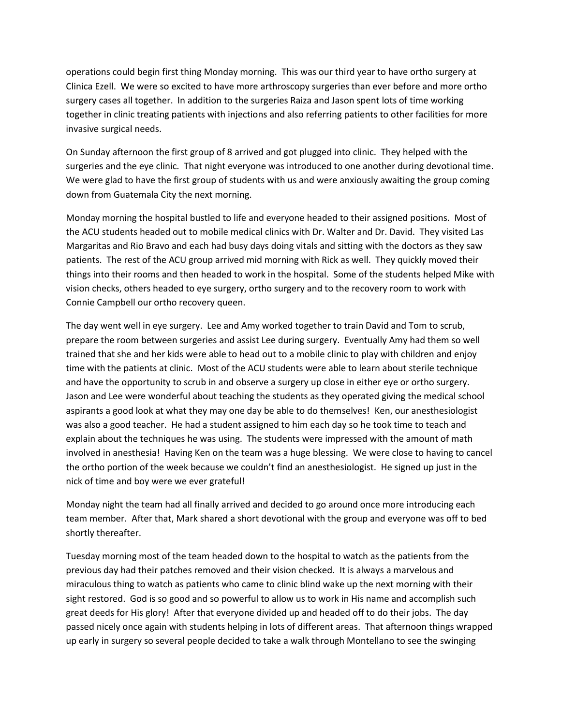operations could begin first thing Monday morning. This was our third year to have ortho surgery at Clinica Ezell. We were so excited to have more arthroscopy surgeries than ever before and more ortho surgery cases all together. In addition to the surgeries Raiza and Jason spent lots of time working together in clinic treating patients with injections and also referring patients to other facilities for more invasive surgical needs.

On Sunday afternoon the first group of 8 arrived and got plugged into clinic. They helped with the surgeries and the eye clinic. That night everyone was introduced to one another during devotional time. We were glad to have the first group of students with us and were anxiously awaiting the group coming down from Guatemala City the next morning.

Monday morning the hospital bustled to life and everyone headed to their assigned positions. Most of the ACU students headed out to mobile medical clinics with Dr. Walter and Dr. David. They visited Las Margaritas and Rio Bravo and each had busy days doing vitals and sitting with the doctors as they saw patients. The rest of the ACU group arrived mid morning with Rick as well. They quickly moved their things into their rooms and then headed to work in the hospital. Some of the students helped Mike with vision checks, others headed to eye surgery, ortho surgery and to the recovery room to work with Connie Campbell our ortho recovery queen.

The day went well in eye surgery. Lee and Amy worked together to train David and Tom to scrub, prepare the room between surgeries and assist Lee during surgery. Eventually Amy had them so well trained that she and her kids were able to head out to a mobile clinic to play with children and enjoy time with the patients at clinic. Most of the ACU students were able to learn about sterile technique and have the opportunity to scrub in and observe a surgery up close in either eye or ortho surgery. Jason and Lee were wonderful about teaching the students as they operated giving the medical school aspirants a good look at what they may one day be able to do themselves! Ken, our anesthesiologist was also a good teacher. He had a student assigned to him each day so he took time to teach and explain about the techniques he was using. The students were impressed with the amount of math involved in anesthesia! Having Ken on the team was a huge blessing. We were close to having to cancel the ortho portion of the week because we couldn't find an anesthesiologist. He signed up just in the nick of time and boy were we ever grateful!

Monday night the team had all finally arrived and decided to go around once more introducing each team member. After that, Mark shared a short devotional with the group and everyone was off to bed shortly thereafter.

Tuesday morning most of the team headed down to the hospital to watch as the patients from the previous day had their patches removed and their vision checked. It is always a marvelous and miraculous thing to watch as patients who came to clinic blind wake up the next morning with their sight restored. God is so good and so powerful to allow us to work in His name and accomplish such great deeds for His glory! After that everyone divided up and headed off to do their jobs. The day passed nicely once again with students helping in lots of different areas. That afternoon things wrapped up early in surgery so several people decided to take a walk through Montellano to see the swinging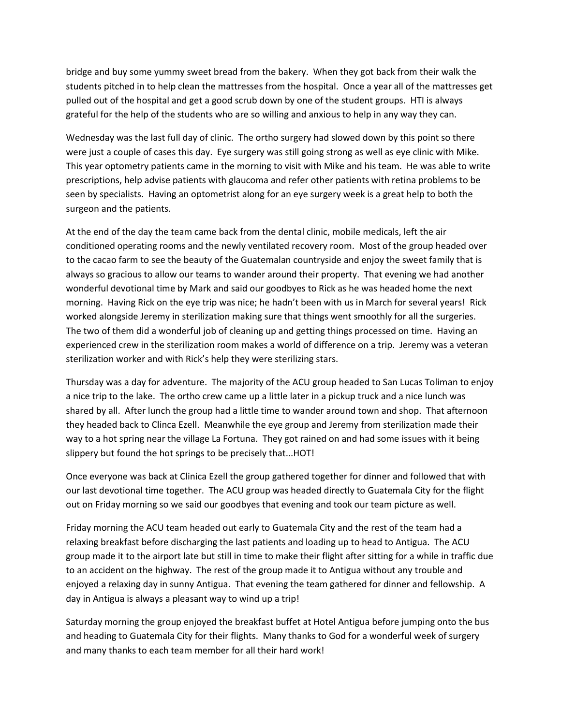bridge and buy some yummy sweet bread from the bakery. When they got back from their walk the students pitched in to help clean the mattresses from the hospital. Once a year all of the mattresses get pulled out of the hospital and get a good scrub down by one of the student groups. HTI is always grateful for the help of the students who are so willing and anxious to help in any way they can.

Wednesday was the last full day of clinic. The ortho surgery had slowed down by this point so there were just a couple of cases this day. Eye surgery was still going strong as well as eye clinic with Mike. This year optometry patients came in the morning to visit with Mike and his team. He was able to write prescriptions, help advise patients with glaucoma and refer other patients with retina problems to be seen by specialists. Having an optometrist along for an eye surgery week is a great help to both the surgeon and the patients.

At the end of the day the team came back from the dental clinic, mobile medicals, left the air conditioned operating rooms and the newly ventilated recovery room. Most of the group headed over to the cacao farm to see the beauty of the Guatemalan countryside and enjoy the sweet family that is always so gracious to allow our teams to wander around their property. That evening we had another wonderful devotional time by Mark and said our goodbyes to Rick as he was headed home the next morning. Having Rick on the eye trip was nice; he hadn't been with us in March for several years! Rick worked alongside Jeremy in sterilization making sure that things went smoothly for all the surgeries. The two of them did a wonderful job of cleaning up and getting things processed on time. Having an experienced crew in the sterilization room makes a world of difference on a trip. Jeremy was a veteran sterilization worker and with Rick's help they were sterilizing stars.

Thursday was a day for adventure. The majority of the ACU group headed to San Lucas Toliman to enjoy a nice trip to the lake. The ortho crew came up a little later in a pickup truck and a nice lunch was shared by all. After lunch the group had a little time to wander around town and shop. That afternoon they headed back to Clinca Ezell. Meanwhile the eye group and Jeremy from sterilization made their way to a hot spring near the village La Fortuna. They got rained on and had some issues with it being slippery but found the hot springs to be precisely that...HOT!

Once everyone was back at Clinica Ezell the group gathered together for dinner and followed that with our last devotional time together. The ACU group was headed directly to Guatemala City for the flight out on Friday morning so we said our goodbyes that evening and took our team picture as well.

Friday morning the ACU team headed out early to Guatemala City and the rest of the team had a relaxing breakfast before discharging the last patients and loading up to head to Antigua. The ACU group made it to the airport late but still in time to make their flight after sitting for a while in traffic due to an accident on the highway. The rest of the group made it to Antigua without any trouble and enjoyed a relaxing day in sunny Antigua. That evening the team gathered for dinner and fellowship. A day in Antigua is always a pleasant way to wind up a trip!

Saturday morning the group enjoyed the breakfast buffet at Hotel Antigua before jumping onto the bus and heading to Guatemala City for their flights. Many thanks to God for a wonderful week of surgery and many thanks to each team member for all their hard work!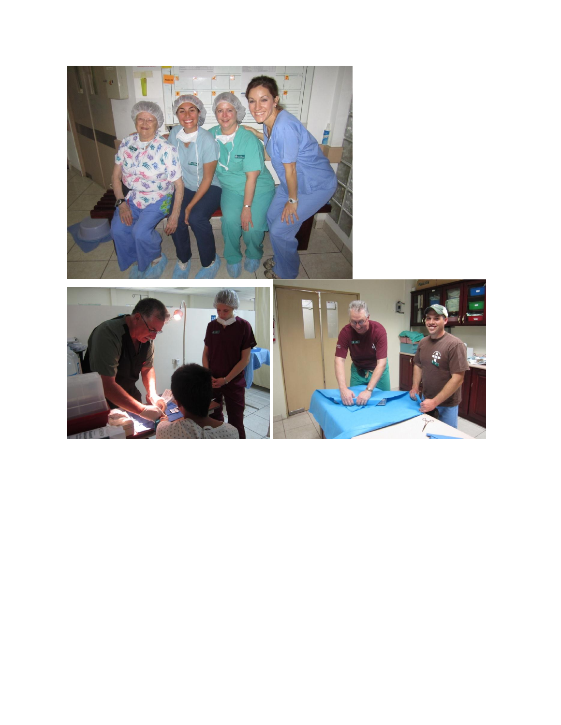